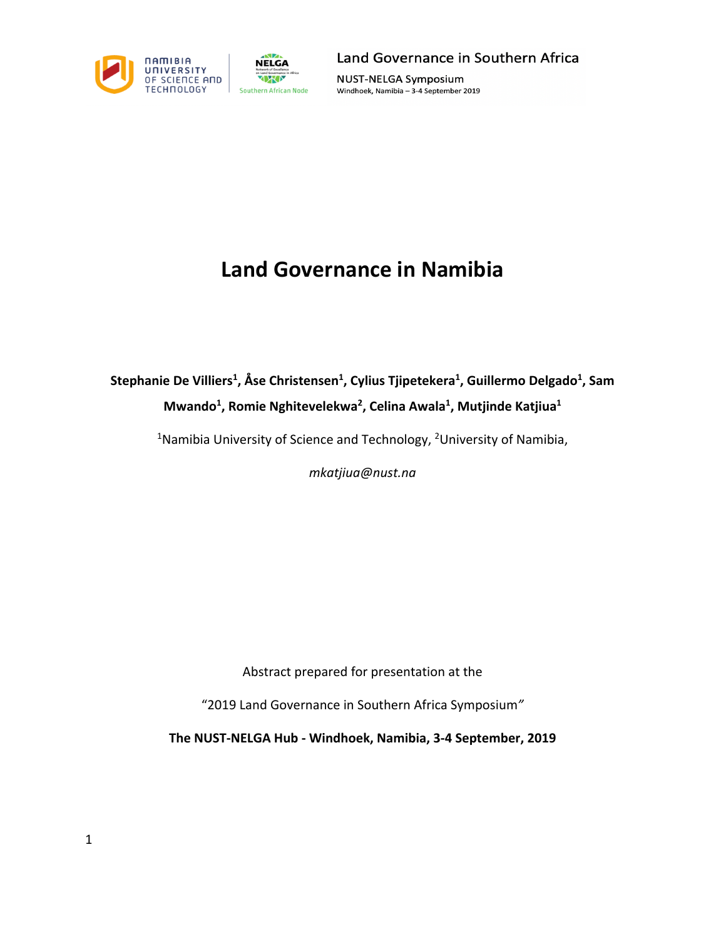

Land Governance in Southern Africa

**NUST-NELGA Symposium** Windhoek, Namibia - 3-4 September 2019

## **Land Governance in Namibia**

## Stephanie De Villiers<sup>1</sup>, Åse Christensen<sup>1</sup>, Cylius Tjipetekera<sup>1</sup>, Guillermo Delgado<sup>1</sup>, Sam **Mwando1 , Romie Nghitevelekwa2 , Celina Awala1 , Mutjinde Katjiua1**

<sup>1</sup>Namibia University of Science and Technology, <sup>2</sup>University of Namibia,

*mkatjiua@nust.na*

Abstract prepared for presentation at the

"2019 Land Governance in Southern Africa Symposium*"*

**The NUST-NELGA Hub - Windhoek, Namibia, 3-4 September, 2019**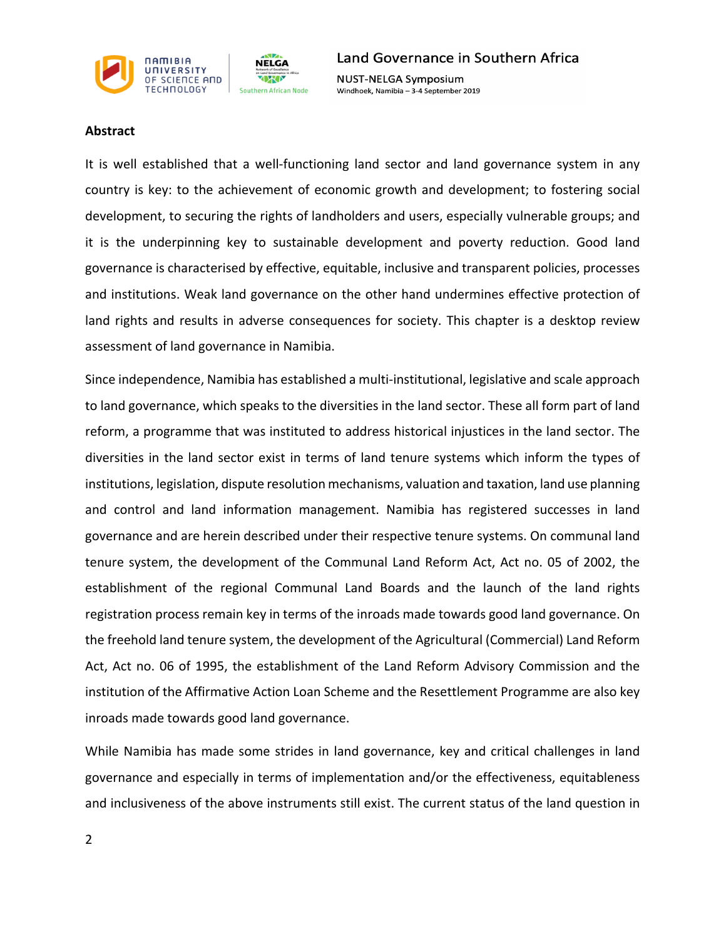

**NUST-NELGA Symposium** Windhoek, Namibia - 3-4 September 2019

## **Abstract**

It is well established that a well-functioning land sector and land governance system in any country is key: to the achievement of economic growth and development; to fostering social development, to securing the rights of landholders and users, especially vulnerable groups; and it is the underpinning key to sustainable development and poverty reduction. Good land governance is characterised by effective, equitable, inclusive and transparent policies, processes and institutions. Weak land governance on the other hand undermines effective protection of land rights and results in adverse consequences for society. This chapter is a desktop review assessment of land governance in Namibia.

Since independence, Namibia has established a multi-institutional, legislative and scale approach to land governance, which speaks to the diversities in the land sector. These all form part of land reform, a programme that was instituted to address historical injustices in the land sector. The diversities in the land sector exist in terms of land tenure systems which inform the types of institutions, legislation, dispute resolution mechanisms, valuation and taxation, land use planning and control and land information management. Namibia has registered successes in land governance and are herein described under their respective tenure systems. On communal land tenure system, the development of the Communal Land Reform Act, Act no. 05 of 2002, the establishment of the regional Communal Land Boards and the launch of the land rights registration process remain key in terms of the inroads made towards good land governance. On the freehold land tenure system, the development of the Agricultural (Commercial) Land Reform Act, Act no. 06 of 1995, the establishment of the Land Reform Advisory Commission and the institution of the Affirmative Action Loan Scheme and the Resettlement Programme are also key inroads made towards good land governance.

While Namibia has made some strides in land governance, key and critical challenges in land governance and especially in terms of implementation and/or the effectiveness, equitableness and inclusiveness of the above instruments still exist. The current status of the land question in

2